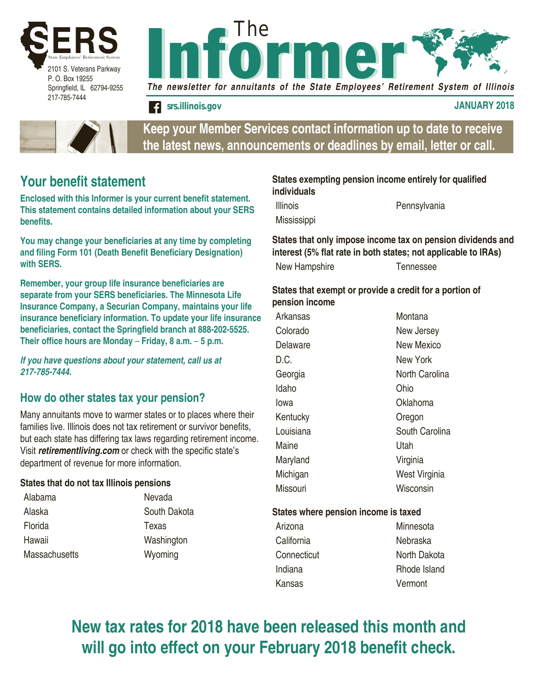



*srs.illinois.gov* **JANUARY 2018**



**Keep your Member Services contact information up to date to receive the latest news, announcements or deadlines by email, letter or call.**

## **Your benefit statement**

**Enclosed with this Informer is your current benefit statement. This statement contains detailed information about your SERS benefits.** 

**You may change your beneficiaries at any time by completing and filing Form 101 (Death Benefit Beneficiary Designation) with SERS.**

**Remember, your group life insurance beneficiaries are separate from your SERS beneficiaries. The Minnesota Life Insurance Company, a Securian Company, maintains your life insurance beneficiary information. To update your life insurance beneficiaries, contact the Springfield branch at 888-202-5525. Their office hours are Monday** – **Friday, 8 a.m.** – **5 p.m.**

*If you have questions about your statement, call us at 217-785-7444.*

### **How do other states tax your pension?**

Many annuitants move to warmer states or to places where their families live. Illinois does not tax retirement or survivor benefits, but each state has differing tax laws regarding retirement income. Visit *retirementliving.com* or check with the specific state's department of revenue for more information.

#### **States that do not tax Illinois pensions**

Alabama Nevada Alaska South Dakota Florida Texas Hawaii Washington Massachusetts Wyoming

### **States exempting pension income entirely for qualified individuals**

**Mississippi** 

Illinois Pennsylvania

**States that only impose income tax on pension dividends and interest (5% flat rate in both states; not applicable to IRAs)**

New Hampshire **Tennessee** 

#### **States that exempt or provide a credit for a portion of pension income**

Arkansas Montana Colorado New Jersey Delaware New Mexico D.C. New York Georgia **North Carolina** Idaho Ohio Iowa Oklahoma Kentucky **Oregon** Louisiana **South Carolina** Maine Utah Maryland Virginia Michigan West Virginia Missouri Wisconsin

#### **States where pension income is taxed**

Arizona Minnesota California Nebraska Connecticut North Dakota Indiana Rhode Island Kansas Vermont

**New tax rates for 2018 have been released this month and will go into effect on your February 2018 benefit check.**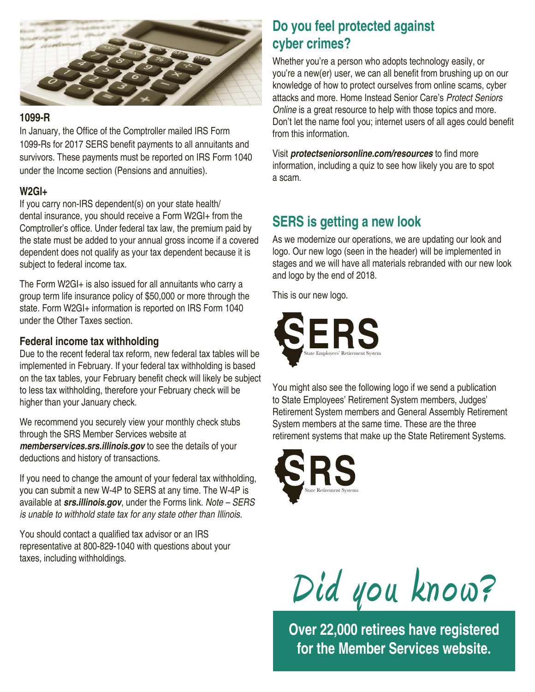

### **1099-R**

In January, the Office of the Comptroller mailed IRS Form 1099-Rs for 2017 SERS benefit payments to all annuitants and survivors. These payments must be reported on IRS Form 1040 under the Income section (Pensions and annuities).

### **W2GI+**

If you carry non-IRS dependent(s) on your state health/ dental insurance, you should receive a Form W2GI+ from the Comptroller's office. Under federal tax law, the premium paid by the state must be added to your annual gross income if a covered dependent does not qualify as your tax dependent because it is subject to federal income tax.

The Form W2GI+ is also issued for all annuitants who carry a group term life insurance policy of \$50,000 or more through the state. Form W2GI+ information is reported on IRS Form 1040 under the Other Taxes section.

### **Federal income tax withholding**

Due to the recent federal tax reform, new federal tax tables will be implemented in February. If your federal tax withholding is based on the tax tables, your February benefit check will likely be subject to less tax withholding, therefore your February check will be higher than your January check.

We recommend you securely view your monthly check stubs through the SRS Member Services website at *memberservices.srs.illinois.gov* to see the details of your deductions and history of transactions.

If you need to change the amount of your federal tax withholding, you can submit a new W-4P to SERS at any time. The W-4P is available at *srs.illinois.gov*, under the Forms link. *Note – SERS is unable to withhold state tax for any state other than Illinois.*

You should contact a qualified tax advisor or an IRS representative at 800-829-1040 with questions about your taxes, including withholdings.

# **Do you feel protected against cyber crimes?**

Whether you're a person who adopts technology easily, or you're a new(er) user, we can all benefit from brushing up on our knowledge of how to protect ourselves from online scams, cyber attacks and more. Home Instead Senior Care's *Protect Seniors Online* is a great resource to help with those topics and more. Don't let the name fool you; internet users of all ages could benefit from this information.

Visit *protectseniorsonline.com/resources* to find more information, including a quiz to see how likely you are to spot a scam.

# **SERS is getting a new look**

As we modernize our operations, we are updating our look and logo. Our new logo (seen in the header) will be implemented in stages and we will have all materials rebranded with our new look and logo by the end of 2018.

This is our new logo.



You might also see the following logo if we send a publication to State Employees' Retirement System members, Judges' Retirement System members and General Assembly Retirement System members at the same time. These are the three retirement systems that make up the State Retirement Systems.





**Over 22,000 retirees have registered for the Member Services website.**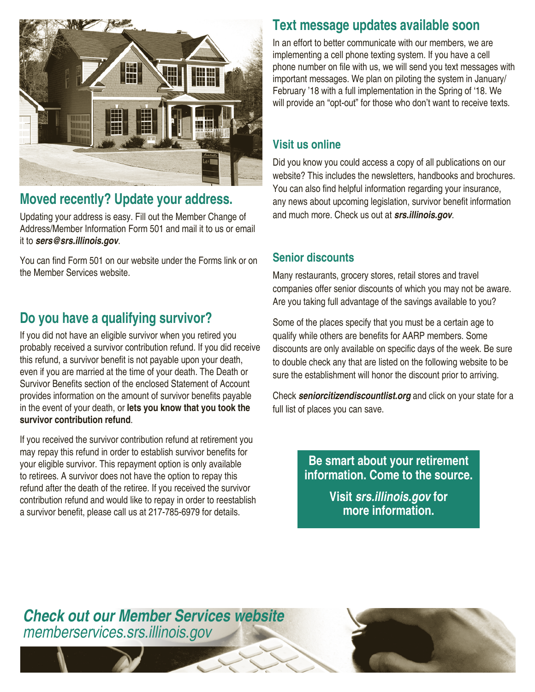

# **Moved recently? Update your address.**

Updating your address is easy. Fill out the Member Change of Address/Member Information Form 501 and mail it to us or email it to *sers@srs.illinois.gov*.

You can find Form 501 on our website under the Forms link or on the Member Services website.

# **Do you have a qualifying survivor?**

If you did not have an eligible survivor when you retired you probably received a survivor contribution refund. If you did receive this refund, a survivor benefit is not payable upon your death, even if you are married at the time of your death. The Death or Survivor Benefits section of the enclosed Statement of Account provides information on the amount of survivor benefits payable in the event of your death, or **lets you know that you took the survivor contribution refund**.

If you received the survivor contribution refund at retirement you may repay this refund in order to establish survivor benefits for your eligible survivor. This repayment option is only available to retirees. A survivor does not have the option to repay this refund after the death of the retiree. If you received the survivor contribution refund and would like to repay in order to reestablish a survivor benefit, please call us at 217-785-6979 for details.

## **Text message updates available soon**

In an effort to better communicate with our members, we are implementing a cell phone texting system. If you have a cell phone number on file with us, we will send you text messages with important messages. We plan on piloting the system in January/ February '18 with a full implementation in the Spring of '18. We will provide an "opt-out" for those who don't want to receive texts.

### **Visit us online**

Did you know you could access a copy of all publications on our website? This includes the newsletters, handbooks and brochures. You can also find helpful information regarding your insurance, any news about upcoming legislation, survivor benefit information and much more. Check us out at *srs.illinois.gov*.

### **Senior discounts**

Many restaurants, grocery stores, retail stores and travel companies offer senior discounts of which you may not be aware. Are you taking full advantage of the savings available to you?

Some of the places specify that you must be a certain age to qualify while others are benefits for AARP members. Some discounts are only available on specific days of the week. Be sure to double check any that are listed on the following website to be sure the establishment will honor the discount prior to arriving.

Check *seniorcitizendiscountlist.org* and click on your state for a full list of places you can save.

> **Be smart about your retirement information. Come to the source.**

> > **Visit** *srs.illinois.gov* **for more information.**

# *Check out our Member Services website memberservices.srs.illinois.gov*